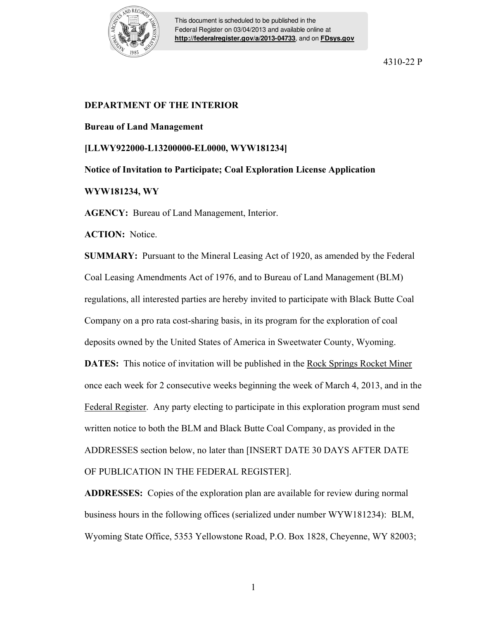

This document is scheduled to be published in the Federal Register on 03/04/2013 and available online at **<http://federalregister.gov/a/2013-04733>**, and on **[FDsys.gov](http://federalregister.gov/a/2013-04733.pdf)**

4310-22 P

## **DEPARTMENT OF THE INTERIOR**

## **Bureau of Land Management**

**[LLWY922000-L13200000-EL0000, WYW181234]** 

**Notice of Invitation to Participate; Coal Exploration License Application** 

## **WYW181234, WY**

**AGENCY:** Bureau of Land Management, Interior.

**ACTION:** Notice.

**SUMMARY:** Pursuant to the Mineral Leasing Act of 1920, as amended by the Federal Coal Leasing Amendments Act of 1976, and to Bureau of Land Management (BLM) regulations, all interested parties are hereby invited to participate with Black Butte Coal Company on a pro rata cost-sharing basis, in its program for the exploration of coal deposits owned by the United States of America in Sweetwater County, Wyoming. **DATES:** This notice of invitation will be published in the Rock Springs Rocket Miner once each week for 2 consecutive weeks beginning the week of March 4, 2013, and in the Federal Register. Any party electing to participate in this exploration program must send written notice to both the BLM and Black Butte Coal Company, as provided in the ADDRESSES section below, no later than [INSERT DATE 30 DAYS AFTER DATE

OF PUBLICATION IN THE FEDERAL REGISTER].

**ADDRESSES:** Copies of the exploration plan are available for review during normal business hours in the following offices (serialized under number WYW181234): BLM, Wyoming State Office, 5353 Yellowstone Road, P.O. Box 1828, Cheyenne, WY 82003;

1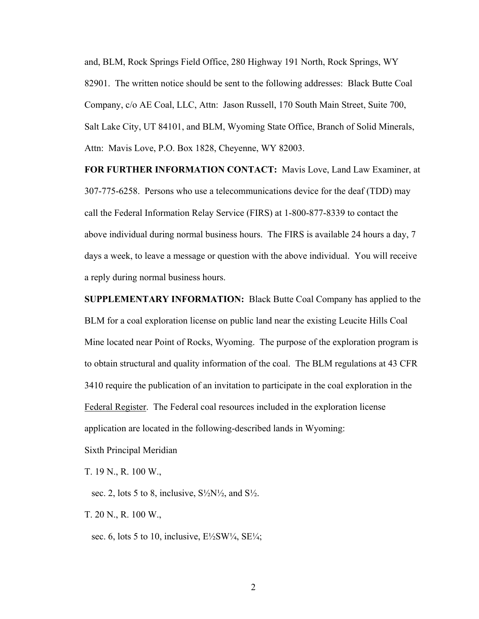and, BLM, Rock Springs Field Office, 280 Highway 191 North, Rock Springs, WY 82901. The written notice should be sent to the following addresses: Black Butte Coal Company, c/o AE Coal, LLC, Attn: Jason Russell, 170 South Main Street, Suite 700, Salt Lake City, UT 84101, and BLM, Wyoming State Office, Branch of Solid Minerals, Attn: Mavis Love, P.O. Box 1828, Cheyenne, WY 82003.

**FOR FURTHER INFORMATION CONTACT:** Mavis Love, Land Law Examiner, at 307-775-6258. Persons who use a telecommunications device for the deaf (TDD) may call the Federal Information Relay Service (FIRS) at 1-800-877-8339 to contact the above individual during normal business hours. The FIRS is available 24 hours a day, 7 days a week, to leave a message or question with the above individual. You will receive a reply during normal business hours.

**SUPPLEMENTARY INFORMATION:** Black Butte Coal Company has applied to the BLM for a coal exploration license on public land near the existing Leucite Hills Coal Mine located near Point of Rocks, Wyoming. The purpose of the exploration program is to obtain structural and quality information of the coal. The BLM regulations at 43 CFR 3410 require the publication of an invitation to participate in the coal exploration in the Federal Register. The Federal coal resources included in the exploration license application are located in the following-described lands in Wyoming:

Sixth Principal Meridian

T. 19 N., R. 100 W.,

sec. 2, lots 5 to 8, inclusive,  $S\frac{1}{2}N\frac{1}{2}$ , and  $S\frac{1}{2}$ .

T. 20 N., R. 100 W.,

sec. 6, lots 5 to 10, inclusive,  $E\frac{1}{2}SW\frac{1}{4}$ ,  $SE\frac{1}{4}$ ;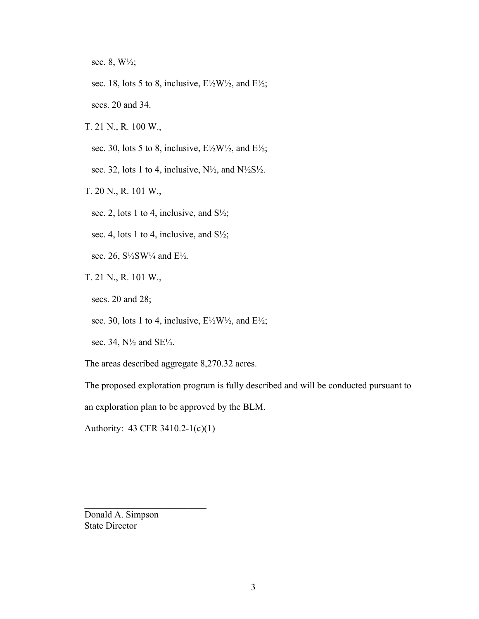sec. 8, W½;

sec. 18, lots 5 to 8, inclusive, E½W½, and E½;

secs. 20 and 34.

T. 21 N., R. 100 W.,

sec. 30, lots 5 to 8, inclusive,  $E\frac{\lambda}{2}W\frac{\lambda}{2}$ , and  $E\frac{\lambda}{2}$ ;

sec. 32, lots 1 to 4, inclusive,  $N\frac{1}{2}$ , and  $N\frac{1}{2}S\frac{1}{2}$ .

T. 20 N., R. 101 W.,

sec. 2, lots 1 to 4, inclusive, and  $S\frac{1}{2}$ ;

sec. 4, lots 1 to 4, inclusive, and  $S\frac{1}{2}$ ;

sec. 26,  $S\frac{1}{2}SW\frac{1}{4}$  and  $E\frac{1}{2}$ .

T. 21 N., R. 101 W.,

secs. 20 and 28;

sec. 30, lots 1 to 4, inclusive,  $E\frac{1}{2}W\frac{1}{2}$ , and  $E\frac{1}{2}$ ;

sec. 34,  $N\frac{1}{2}$  and SE $\frac{1}{4}$ .

The areas described aggregate 8,270.32 acres.

The proposed exploration program is fully described and will be conducted pursuant to

an exploration plan to be approved by the BLM.

Authority: 43 CFR 3410.2-1(c)(1)

 $\mathcal{L}_\text{max}$  , where  $\mathcal{L}_\text{max}$  and  $\mathcal{L}_\text{max}$ 

Donald A. Simpson State Director